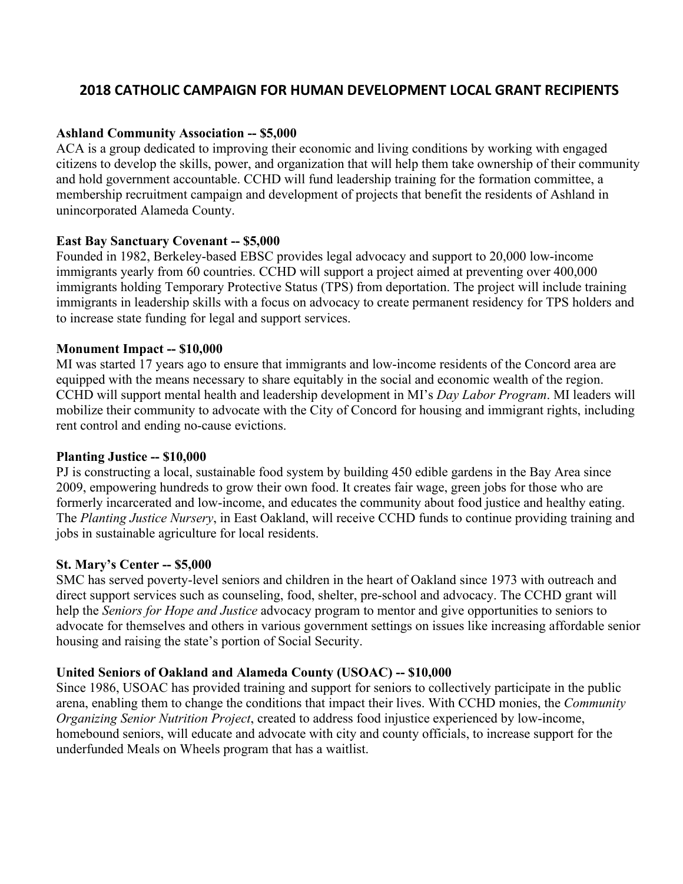# **2018 CATHOLIC CAMPAIGN FOR HUMAN DEVELOPMENT LOCAL GRANT RECIPIENTS**

## **Ashland Community Association -- \$5,000**

ACA is a group dedicated to improving their economic and living conditions by working with engaged citizens to develop the skills, power, and organization that will help them take ownership of their community and hold government accountable. CCHD will fund leadership training for the formation committee, a membership recruitment campaign and development of projects that benefit the residents of Ashland in unincorporated Alameda County.

## **East Bay Sanctuary Covenant -- \$5,000**

Founded in 1982, Berkeley-based EBSC provides legal advocacy and support to 20,000 low-income immigrants yearly from 60 countries. CCHD will support a project aimed at preventing over 400,000 immigrants holding Temporary Protective Status (TPS) from deportation. The project will include training immigrants in leadership skills with a focus on advocacy to create permanent residency for TPS holders and to increase state funding for legal and support services.

#### **Monument Impact -- \$10,000**

MI was started 17 years ago to ensure that immigrants and low-income residents of the Concord area are equipped with the means necessary to share equitably in the social and economic wealth of the region. CCHD will support mental health and leadership development in MI's *Day Labor Program*. MI leaders will mobilize their community to advocate with the City of Concord for housing and immigrant rights, including rent control and ending no-cause evictions.

#### **Planting Justice -- \$10,000**

PJ is constructing a local, sustainable food system by building 450 edible gardens in the Bay Area since 2009, empowering hundreds to grow their own food. It creates fair wage, green jobs for those who are formerly incarcerated and low-income, and educates the community about food justice and healthy eating. The *Planting Justice Nursery*, in East Oakland, will receive CCHD funds to continue providing training and jobs in sustainable agriculture for local residents.

#### **St. Mary's Center -- \$5,000**

SMC has served poverty-level seniors and children in the heart of Oakland since 1973 with outreach and direct support services such as counseling, food, shelter, pre-school and advocacy. The CCHD grant will help the *Seniors for Hope and Justice* advocacy program to mentor and give opportunities to seniors to advocate for themselves and others in various government settings on issues like increasing affordable senior housing and raising the state's portion of Social Security.

# **United Seniors of Oakland and Alameda County (USOAC) -- \$10,000**

Since 1986, USOAC has provided training and support for seniors to collectively participate in the public arena, enabling them to change the conditions that impact their lives. With CCHD monies, the *Community Organizing Senior Nutrition Project*, created to address food injustice experienced by low-income, homebound seniors, will educate and advocate with city and county officials, to increase support for the underfunded Meals on Wheels program that has a waitlist.